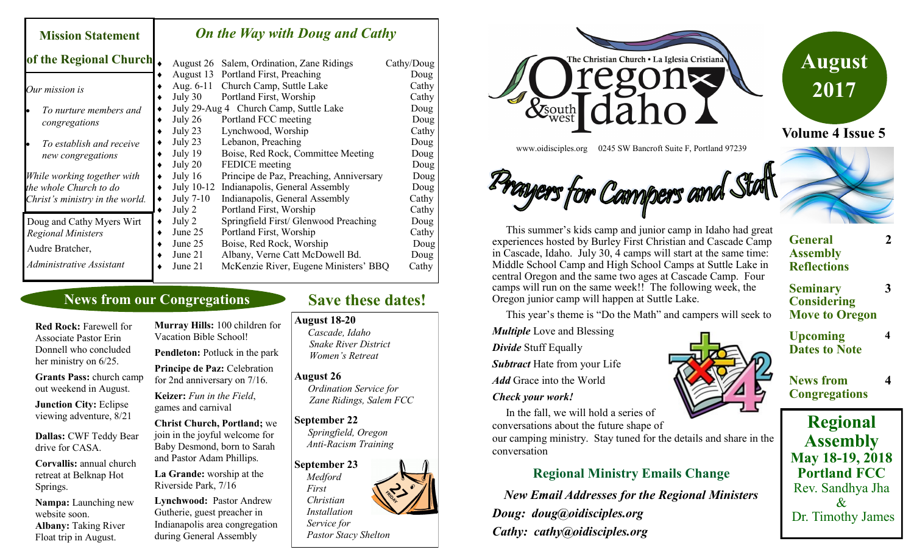| <b>Mission Statement</b>                | <b>On the Way with Doug and Cathy</b> |                                         |            |  |
|-----------------------------------------|---------------------------------------|-----------------------------------------|------------|--|
| of the Regional Church.                 | August 26                             | Salem, Ordination, Zane Ridings         | Cathy/Doug |  |
|                                         | August 13                             | Portland First, Preaching               | Doug       |  |
| Our mission is                          | Aug. $6-11$                           | Church Camp, Suttle Lake                | Cathy      |  |
|                                         | July 30                               | Portland First, Worship                 | Cathy      |  |
| To nurture members and<br>congregations |                                       | July 29-Aug 4 Church Camp, Suttle Lake  | Doug       |  |
|                                         | July $26$                             | Portland FCC meeting                    | Doug       |  |
|                                         | July 23                               | Lynchwood, Worship                      | Cathy      |  |
| To establish and receive                | July 23                               | Lebanon, Preaching                      | Doug       |  |
| new congregations                       | July 19                               | Boise, Red Rock, Committee Meeting      | Doug       |  |
|                                         | July 20                               | <b>FEDICE</b> meeting                   | Doug       |  |
| While working together with             | July $16$                             | Principe de Paz, Preaching, Anniversary | Doug       |  |
| the whole Church to do                  | July 10-12                            | Indianapolis, General Assembly          | Doug       |  |
| Christ's ministry in the world.         | July 7-10                             | Indianapolis, General Assembly          | Cathy      |  |
|                                         | July 2                                | Portland First, Worship                 | Cathy      |  |
| Doug and Cathy Myers Wirt               | July 2                                | Springfield First/ Glenwood Preaching   | Doug       |  |
| <b>Regional Ministers</b>               | June 25                               | Portland First, Worship                 | Cathy      |  |
|                                         | June 25                               | Boise, Red Rock, Worship                | Doug       |  |
| Audre Bratcher,                         | June 21                               | Albany, Verne Catt McDowell Bd.         | Doug       |  |
| Administrative Assistant                | June 21                               | McKenzie River, Eugene Ministers' BBQ   | Cathy      |  |

# **News from our Congregations**

**Red Rock:** Farewell for Associate Pastor Erin Donnell who concluded her ministry on 6/25. **Grants Pass:** church camp out weekend in August. **Junction City:** Eclipse

viewing adventure, 8/21

**Dallas:** CWF Teddy Bear drive for CASA.

**Corvallis:** annual church retreat at Belknap Hot Springs.

**Nampa:** Launching new website soon. **Albany:** Taking River Float trip in August.

**Murray Hills:** 100 children for Vacation Bible School! **Pendleton:** Potluck in the park **Principe de Paz:** Celebration for 2nd anniversary on 7/16. **Keizer:** *Fun in the Field*, games and carnival **Christ Church, Portland;** we join in the joyful welcome for Baby Desmond, born to Sarah and Pastor Adam Phillips. **La Grande:** worship at the Riverside Park, 7/16

**Lynchwood:** Pastor Andrew Gutherie, guest preacher in Indianapolis area congregation during General Assembly

# **Save these dates!**

### **August 18-20**

*Cascade, Idaho Snake River District Women's Retreat*

#### **August 26**

*Ordination Service for Zane Ridings, Salem FCC*

#### **September 22**

*Springfield, Oregon Anti-Racism Training*

**September 23**  *Medford First Christian Installation Service for Pastor Stacy Shelton*





www.oidisciples.org 0245 SW Bancroft Suite F, Portland 97239

# Cangers for Campers and Stat

 This summer's kids camp and junior camp in Idaho had great experiences hosted by Burley First Christian and Cascade Camp in Cascade, Idaho. July 30, 4 camps will start at the same time: Middle School Camp and High School Camps at Suttle Lake in central Oregon and the same two ages at Cascade Camp. Four camps will run on the same week!! The following week, the Oregon junior camp will happen at Suttle Lake.

This year's theme is "Do the Math" and campers will seek to

*Multiple* Love and Blessing

*Divide* Stuff Equally

*Subtract* Hate from your Life

*Add* Grace into the World

#### *Check your work!*

 In the fall, we will hold a series of conversations about the future shape of

our camping ministry. Stay tuned for the details and share in the conversation

# **Regional Ministry Emails Change**

*New Email Addresses for the Regional Ministers Doug: doug@oidisciples.org Cathy: cathy@oidisciples.org*



**Upcoming Dates to Note** **2**

**3**

**4**

**4**

**General** 

**News from Congregations**

**Regional Assembly May 18-19, 2018 Portland FCC** Rev. Sandhya Jha  $\mathcal{X}$ Dr. Timothy James

**Assembly Reflections Seminary Considering Move to Oregon**